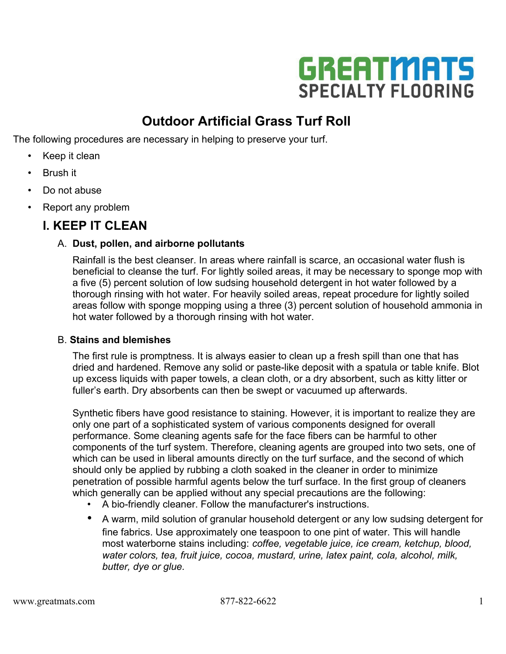

# **Outdoor Artificial Grass Turf Roll**

The following procedures are necessary in helping to preserve your turf.

- Keep it clean
- Brush it
- Do not abuse
- Report any problem

### **I. KEEP IT CLEAN**

#### A. **Dust, pollen, and airborne pollutants**

Rainfall is the best cleanser. In areas where rainfall is scarce, an occasional water flush is beneficial to cleanse the turf. For lightly soiled areas, it may be necessary to sponge mop with a five (5) percent solution of low sudsing household detergent in hot water followed by a thorough rinsing with hot water. For heavily soiled areas, repeat procedure for lightly soiled areas follow with sponge mopping using a three (3) percent solution of household ammonia in hot water followed by a thorough rinsing with hot water.

#### B. **Stains and blemishes**

The first rule is promptness. It is always easier to clean up a fresh spill than one that has dried and hardened. Remove any solid or paste-like deposit with a spatula or table knife. Blot up excess liquids with paper towels, a clean cloth, or a dry absorbent, such as kitty litter or fuller's earth. Dry absorbents can then be swept or vacuumed up afterwards.

Synthetic fibers have good resistance to staining. However, it is important to realize they are only one part of a sophisticated system of various components designed for overall performance. Some cleaning agents safe for the face fibers can be harmful to other components of the turf system. Therefore, cleaning agents are grouped into two sets, one of which can be used in liberal amounts directly on the turf surface, and the second of which should only be applied by rubbing a cloth soaked in the cleaner in order to minimize penetration of possible harmful agents below the turf surface. In the first group of cleaners which generally can be applied without any special precautions are the following:

- A bio-friendly cleaner. Follow the manufacturer's instructions.
- A warm, mild solution of granular household detergent or any low sudsing detergent for fine fabrics. Use approximately one teaspoon to one pint of water. This will handle most waterborne stains including: *coffee, vegetable juice, ice cream, ketchup, blood, water colors, tea, fruit juice, cocoa, mustard, urine, latex paint, cola, alcohol, milk, butter, dye or glue.*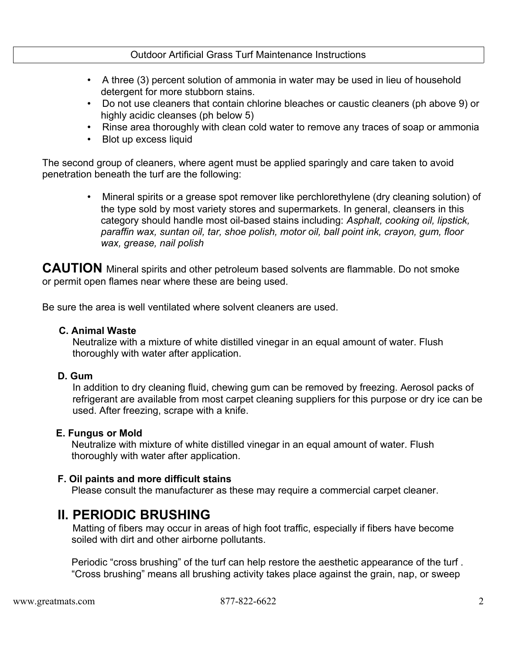#### Outdoor Artificial Grass Turf Maintenance Instructions

- A three (3) percent solution of ammonia in water may be used in lieu of household detergent for more stubborn stains.
- Do not use cleaners that contain chlorine bleaches or caustic cleaners (ph above 9) or highly acidic cleanses (ph below 5)
- Rinse area thoroughly with clean cold water to remove any traces of soap or ammonia
- Blot up excess liquid

The second group of cleaners, where agent must be applied sparingly and care taken to avoid penetration beneath the turf are the following:

> • Mineral spirits or a grease spot remover like perchlorethylene (dry cleaning solution) of the type sold by most variety stores and supermarkets. In general, cleansers in this category should handle most oil-based stains including: *Asphalt, cooking oil, lipstick, paraffin wax, suntan oil, tar, shoe polish, motor oil, ball point ink, crayon, gum, floor wax, grease, nail polish*

**CAUTION** Mineral spirits and other petroleum based solvents are flammable. Do not smoke or permit open flames near where these are being used.

Be sure the area is well ventilated where solvent cleaners are used.

#### **C. Animal Waste**

Neutralize with a mixture of white distilled vinegar in an equal amount of water. Flush thoroughly with water after application.

#### **D. Gum**

In addition to dry cleaning fluid, chewing gum can be removed by freezing. Aerosol packs of refrigerant are available from most carpet cleaning suppliers for this purpose or dry ice can be used. After freezing, scrape with a knife.

#### **E. Fungus or Mold**

Neutralize with mixture of white distilled vinegar in an equal amount of water. Flush thoroughly with water after application.

#### **F. Oil paints and more difficult stains**

Please consult the manufacturer as these may require a commercial carpet cleaner.

### **II. PERIODIC BRUSHING**

Matting of fibers may occur in areas of high foot traffic, especially if fibers have become soiled with dirt and other airborne pollutants.

Periodic "cross brushing" of the turf can help restore the aesthetic appearance of the turf . "Cross brushing" means all brushing activity takes place against the grain, nap, or sweep